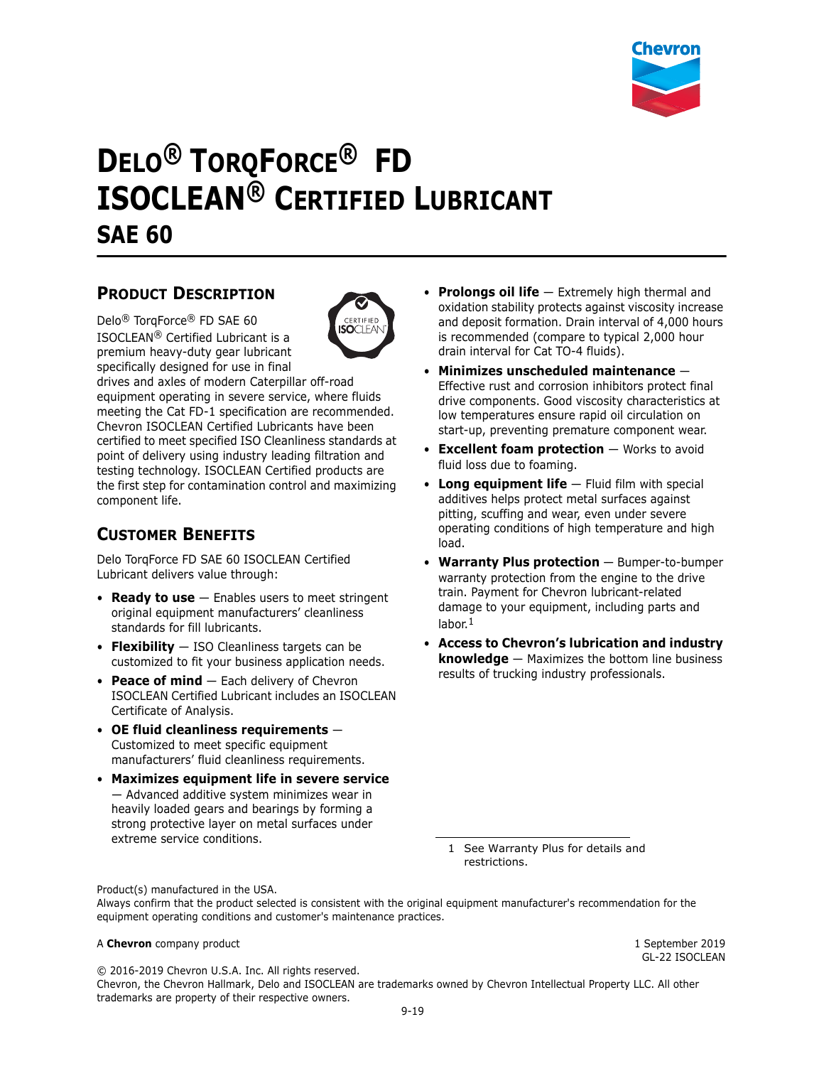

# **DELO® TORQFORCE® FD ISOCLEAN® CERTIFIED LUBRICANT SAE 60**

## **PRODUCT DESCRIPTION**

Delo® TorqForce® FD SAE 60 ISOCLEAN® Certified Lubricant is a premium heavy-duty gear lubricant specifically designed for use in final



drives and axles of modern Caterpillar off-road equipment operating in severe service, where fluids meeting the Cat FD-1 specification are recommended. Chevron ISOCLEAN Certified Lubricants have been certified to meet specified ISO Cleanliness standards at point of delivery using industry leading filtration and testing technology. ISOCLEAN Certified products are the first step for contamination control and maximizing component life.

# **CUSTOMER BENEFITS**

Delo TorqForce FD SAE 60 ISOCLEAN Certified Lubricant delivers value through:

- **Ready to use** Enables users to meet stringent original equipment manufacturers' cleanliness standards for fill lubricants.
- **Flexibility** ISO Cleanliness targets can be customized to fit your business application needs.
- **Peace of mind** Each delivery of Chevron ISOCLEAN Certified Lubricant includes an ISOCLEAN Certificate of Analysis.
- **OE fluid cleanliness requirements** Customized to meet specific equipment manufacturers' fluid cleanliness requirements.
- **Maximizes equipment life in severe service**  — Advanced additive system minimizes wear in heavily loaded gears and bearings by forming a strong protective layer on metal surfaces under extreme service conditions.
- **Prolongs oil life** Extremely high thermal and oxidation stability protects against viscosity increase and deposit formation. Drain interval of 4,000 hours is recommended (compare to typical 2,000 hour drain interval for Cat TO-4 fluids).
- **Minimizes unscheduled maintenance** Effective rust and corrosion inhibitors protect final drive components. Good viscosity characteristics at low temperatures ensure rapid oil circulation on start-up, preventing premature component wear.
- **Excellent foam protection** Works to avoid fluid loss due to foaming.
- **Long equipment life** Fluid film with special additives helps protect metal surfaces against pitting, scuffing and wear, even under severe operating conditions of high temperature and high load.
- **Warranty Plus protection** Bumper-to-bumper warranty protection from the engine to the drive train. Payment for Chevron lubricant-related damage to your equipment, including parts and labor.<sup>1</sup>
- **Access to Chevron's lubrication and industry knowledge** — Maximizes the bottom line business results of trucking industry professionals.

1 See Warranty Plus for details and restrictions.

Product(s) manufactured in the USA.

Always confirm that the product selected is consistent with the original equipment manufacturer's recommendation for the equipment operating conditions and customer's maintenance practices.

#### A **Chevron** company product **1** September 2019

GL-22 ISOCLEAN

© 2016-2019 Chevron U.S.A. Inc. All rights reserved. Chevron, the Chevron Hallmark, Delo and ISOCLEAN are trademarks owned by Chevron Intellectual Property LLC. All other trademarks are property of their respective owners.